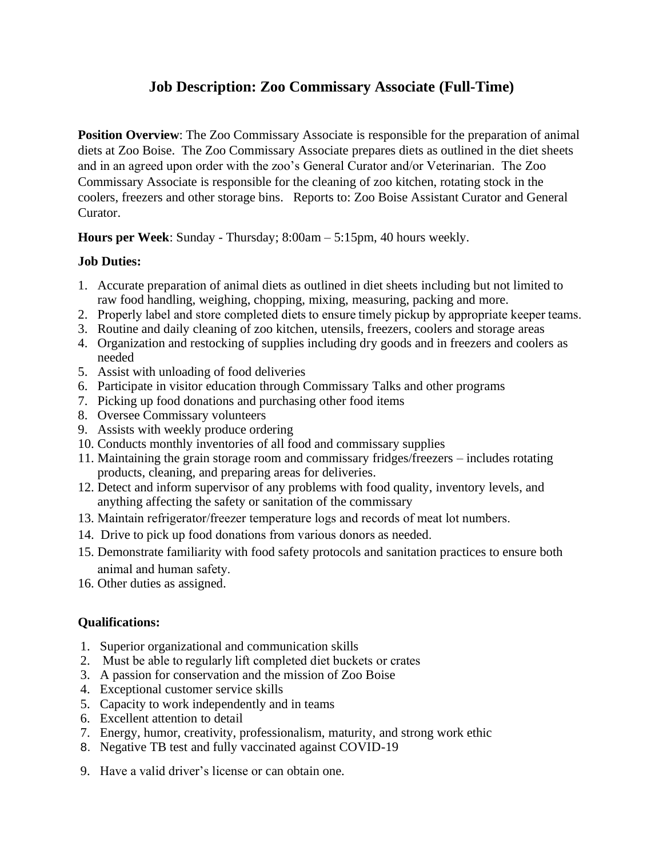# **Job Description: Zoo Commissary Associate (Full-Time)**

**Position Overview**: The Zoo Commissary Associate is responsible for the preparation of animal diets at Zoo Boise. The Zoo Commissary Associate prepares diets as outlined in the diet sheets and in an agreed upon order with the zoo's General Curator and/or Veterinarian. The Zoo Commissary Associate is responsible for the cleaning of zoo kitchen, rotating stock in the coolers, freezers and other storage bins. Reports to: Zoo Boise Assistant Curator and General Curator.

**Hours per Week**: Sunday - Thursday; 8:00am – 5:15pm, 40 hours weekly.

## **Job Duties:**

- 1. Accurate preparation of animal diets as outlined in diet sheets including but not limited to raw food handling, weighing, chopping, mixing, measuring, packing and more.
- 2. Properly label and store completed diets to ensure timely pickup by appropriate keeper teams.
- 3. Routine and daily cleaning of zoo kitchen, utensils, freezers, coolers and storage areas
- 4. Organization and restocking of supplies including dry goods and in freezers and coolers as needed
- 5. Assist with unloading of food deliveries
- 6. Participate in visitor education through Commissary Talks and other programs
- 7. Picking up food donations and purchasing other food items
- 8. Oversee Commissary volunteers
- 9. Assists with weekly produce ordering
- 10. Conducts monthly inventories of all food and commissary supplies
- 11. Maintaining the grain storage room and commissary fridges/freezers includes rotating products, cleaning, and preparing areas for deliveries.
- 12. Detect and inform supervisor of any problems with food quality, inventory levels, and anything affecting the safety or sanitation of the commissary
- 13. Maintain refrigerator/freezer temperature logs and records of meat lot numbers.
- 14. Drive to pick up food donations from various donors as needed.
- 15. Demonstrate familiarity with food safety protocols and sanitation practices to ensure both animal and human safety.
- 16. Other duties as assigned.

## **Qualifications:**

- 1. Superior organizational and communication skills
- 2. Must be able to regularly lift completed diet buckets or crates
- 3. A passion for conservation and the mission of Zoo Boise
- 4. Exceptional customer service skills
- 5. Capacity to work independently and in teams
- 6. Excellent attention to detail
- 7. Energy, humor, creativity, professionalism, maturity, and strong work ethic
- 8. Negative TB test and fully vaccinated against COVID-19
- 9. Have a valid driver's license or can obtain one.